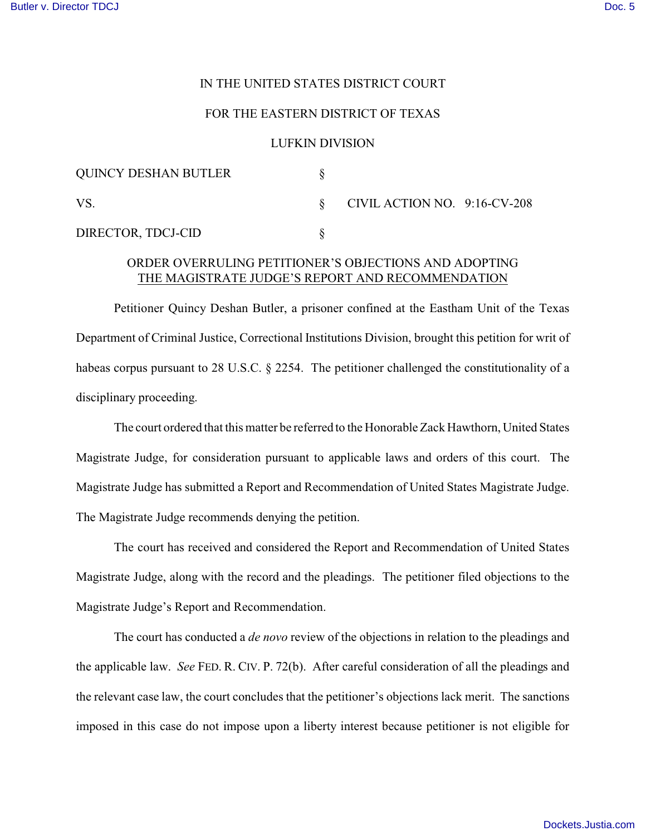## IN THE UNITED STATES DISTRICT COURT

### FOR THE EASTERN DISTRICT OF TEXAS

#### LUFKIN DIVISION

| <b>QUINCY DESHAN BUTLER</b> |                                 |  |
|-----------------------------|---------------------------------|--|
| VS.                         | CIVIL ACTION NO. $9:16$ -CV-208 |  |
| DIRECTOR, TDCJ-CID          |                                 |  |

# ORDER OVERRULING PETITIONER'S OBJECTIONS AND ADOPTING THE MAGISTRATE JUDGE'S REPORT AND RECOMMENDATION

Petitioner Quincy Deshan Butler, a prisoner confined at the Eastham Unit of the Texas Department of Criminal Justice, Correctional Institutions Division, brought this petition for writ of habeas corpus pursuant to 28 U.S.C. § 2254. The petitioner challenged the constitutionality of a disciplinary proceeding.

The court ordered that this matter be referred to the Honorable Zack Hawthorn, United States Magistrate Judge, for consideration pursuant to applicable laws and orders of this court. The Magistrate Judge has submitted a Report and Recommendation of United States Magistrate Judge. The Magistrate Judge recommends denying the petition.

The court has received and considered the Report and Recommendation of United States Magistrate Judge, along with the record and the pleadings. The petitioner filed objections to the Magistrate Judge's Report and Recommendation.

The court has conducted a *de novo* review of the objections in relation to the pleadings and the applicable law. *See* FED. R. CIV. P. 72(b). After careful consideration of all the pleadings and the relevant case law, the court concludes that the petitioner's objections lack merit. The sanctions imposed in this case do not impose upon a liberty interest because petitioner is not eligible for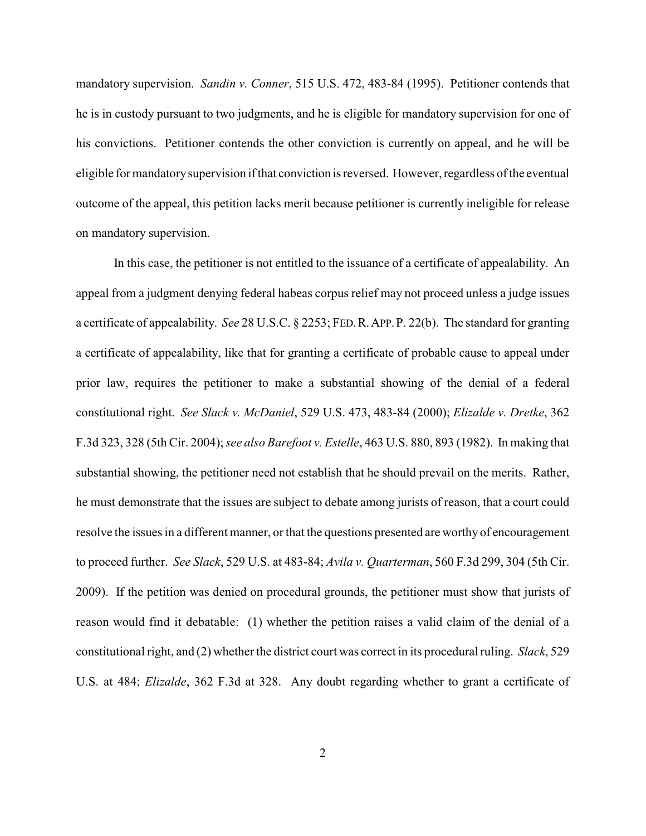mandatory supervision. *Sandin v. Conner*, 515 U.S. 472, 483-84 (1995). Petitioner contends that he is in custody pursuant to two judgments, and he is eligible for mandatory supervision for one of his convictions. Petitioner contends the other conviction is currently on appeal, and he will be eligible for mandatorysupervision if that conviction is reversed. However, regardless of the eventual outcome of the appeal, this petition lacks merit because petitioner is currently ineligible for release on mandatory supervision.

In this case, the petitioner is not entitled to the issuance of a certificate of appealability. An appeal from a judgment denying federal habeas corpus relief may not proceed unless a judge issues a certificate of appealability. *See* 28 U.S.C. § 2253; FED.R.APP.P. 22(b). The standard for granting a certificate of appealability, like that for granting a certificate of probable cause to appeal under prior law, requires the petitioner to make a substantial showing of the denial of a federal constitutional right. *See Slack v. McDaniel*, 529 U.S. 473, 483-84 (2000); *Elizalde v. Dretke*, 362 F.3d 323, 328 (5th Cir. 2004); *see also Barefoot v. Estelle*, 463 U.S. 880, 893 (1982). In making that substantial showing, the petitioner need not establish that he should prevail on the merits. Rather, he must demonstrate that the issues are subject to debate among jurists of reason, that a court could resolve the issues in a different manner, or that the questions presented are worthy of encouragement to proceed further. *See Slack*, 529 U.S. at 483-84; *Avila v. Quarterman*, 560 F.3d 299, 304 (5th Cir. 2009). If the petition was denied on procedural grounds, the petitioner must show that jurists of reason would find it debatable: (1) whether the petition raises a valid claim of the denial of a constitutional right, and (2) whether the district court was correct in its procedural ruling. *Slack*, 529 U.S. at 484; *Elizalde*, 362 F.3d at 328. Any doubt regarding whether to grant a certificate of